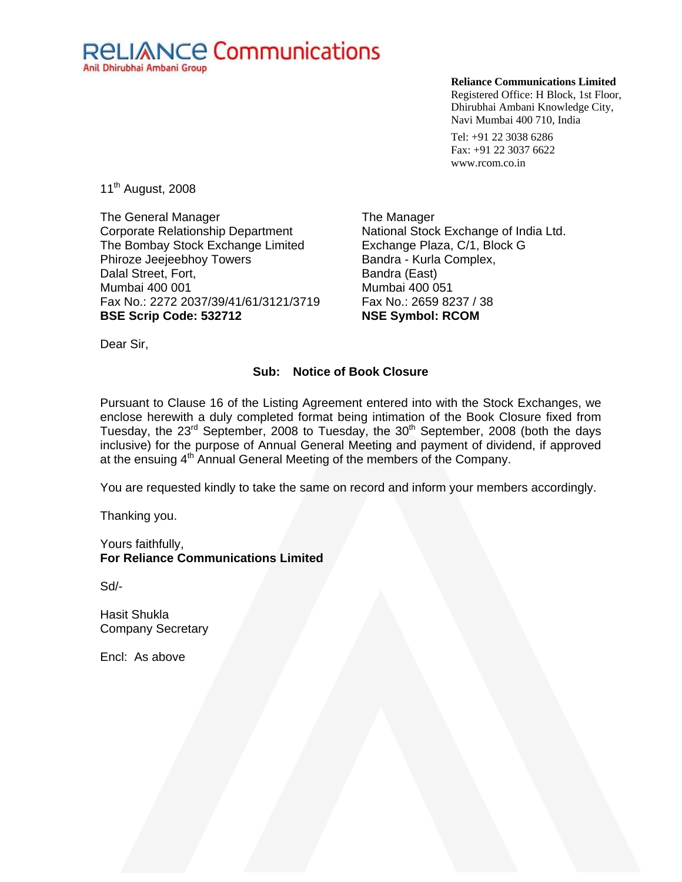# **RELIANCE Communications** Anil Dhirubhai Ambani Group

#### **Reliance Communications Limited**

Registered Office: H Block, 1st Floor, Dhirubhai Ambani Knowledge City, Navi Mumbai 400 710, India

Tel: +91 22 3038 6286 Fax: +91 22 3037 6622 www.rcom.co.in

11<sup>th</sup> August, 2008

The General Manager Corporate Relationship Department The Bombay Stock Exchange Limited Phiroze Jeejeebhoy Towers Dalal Street, Fort, Mumbai 400 001 Fax No.: 2272 2037/39/41/61/3121/3719 **BSE Scrip Code: 532712** 

The Manager National Stock Exchange of India Ltd. Exchange Plaza, C/1, Block G Bandra - Kurla Complex, Bandra (East) Mumbai 400 051 Fax No.: 2659 8237 / 38 **NSE Symbol: RCOM** 

Dear Sir,

## **Sub: Notice of Book Closure**

Pursuant to Clause 16 of the Listing Agreement entered into with the Stock Exchanges, we enclose herewith a duly completed format being intimation of the Book Closure fixed from Tuesday, the  $23<sup>rd</sup>$  September, 2008 to Tuesday, the  $30<sup>th</sup>$  September, 2008 (both the days inclusive) for the purpose of Annual General Meeting and payment of dividend, if approved at the ensuing  $4<sup>th</sup>$  Annual General Meeting of the members of the Company.

You are requested kindly to take the same on record and inform your members accordingly.

Thanking you.

Yours faithfully, **For Reliance Communications Limited** 

Sd/-

Hasit Shukla Company Secretary

Encl: As above